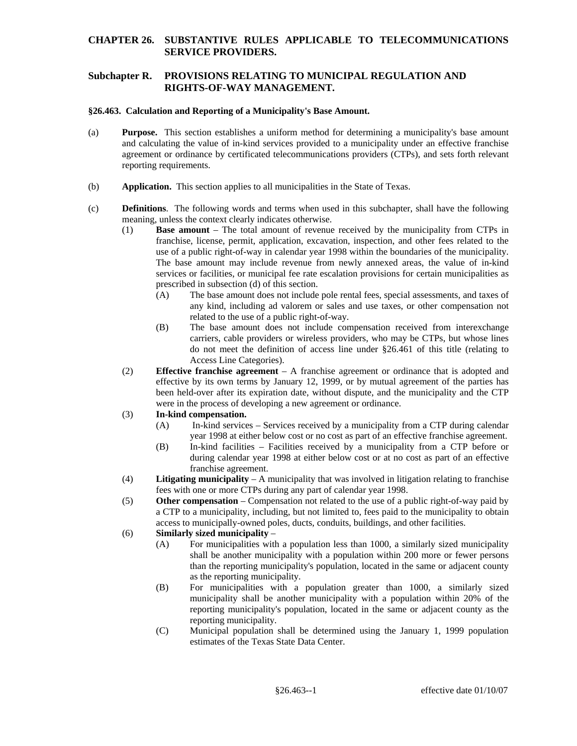## **CHAPTER 26. SUBSTANTIVE RULES APPLICABLE TO TELECOMMUNICATIONS SERVICE PROVIDERS.**

# **Subchapter R. PROVISIONS RELATING TO MUNICIPAL REGULATION AND RIGHTS-OF-WAY MANAGEMENT.**

#### **§26.463. Calculation and Reporting of a Municipality's Base Amount.**

- (a) **Purpose.** This section establishes a uniform method for determining a municipality's base amount and calculating the value of in-kind services provided to a municipality under an effective franchise agreement or ordinance by certificated telecommunications providers (CTPs), and sets forth relevant reporting requirements.
- (b) **Application.** This section applies to all municipalities in the State of Texas.
- (c) **Definitions**. The following words and terms when used in this subchapter, shall have the following meaning, unless the context clearly indicates otherwise.
	- (1) **Base amount**  The total amount of revenue received by the municipality from CTPs in franchise, license, permit, application, excavation, inspection, and other fees related to the use of a public right-of-way in calendar year 1998 within the boundaries of the municipality. The base amount may include revenue from newly annexed areas, the value of in-kind services or facilities, or municipal fee rate escalation provisions for certain municipalities as prescribed in subsection (d) of this section.
		- (A) The base amount does not include pole rental fees, special assessments, and taxes of any kind, including ad valorem or sales and use taxes, or other compensation not related to the use of a public right-of-way.
		- (B) The base amount does not include compensation received from interexchange carriers, cable providers or wireless providers, who may be CTPs, but whose lines do not meet the definition of access line under §26.461 of this title (relating to Access Line Categories).
	- were in the process of developing a new agreement or ordinance.<br>(3) **In-kind compensation.** (2) **Effective franchise agreement** – A franchise agreement or ordinance that is adopted and effective by its own terms by January 12, 1999, or by mutual agreement of the parties has been held-over after its expiration date, without dispute, and the municipality and the CTP

### 

- (A) In-kind services Services received by a municipality from a CTP during calendar year 1998 at either below cost or no cost as part of an effective franchise agreement.
- (B) In-kind facilities Facilities received by a municipality from a CTP before or during calendar year 1998 at either below cost or at no cost as part of an effective franchise agreement.
- fees with one or more CTPs during any part of calendar year 1998. (4) **Litigating municipality** – A municipality that was involved in litigation relating to franchise
- (5) **Other compensation** Compensation not related to the use of a public right-of-way paid by a CTP to a municipality, including, but not limited to, fees paid to the municipality to obtain access to municipally-owned poles, ducts, conduits, buildings, and other facilities.

## (6) **Similarly sized municipality** –

- (A) For municipalities with a population less than 1000, a similarly sized municipality shall be another municipality with a population within 200 more or fewer persons than the reporting municipality's population, located in the same or adjacent county as the reporting municipality.
- (B) For municipalities with a population greater than 1000, a similarly sized municipality shall be another municipality with a population within 20% of the reporting municipality's population, located in the same or adjacent county as the reporting municipality.
- $(C)$ Municipal population shall be determined using the January 1, 1999 population estimates of the Texas State Data Center.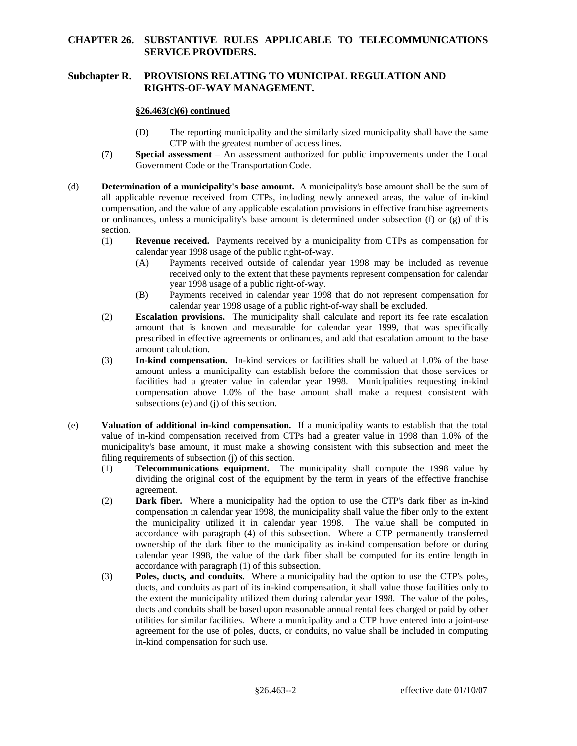## **CHAPTER 26. SUBSTANTIVE RULES APPLICABLE TO TELECOMMUNICATIONS SERVICE PROVIDERS.**

# **Subchapter R. PROVISIONS RELATING TO MUNICIPAL REGULATION AND RIGHTS-OF-WAY MANAGEMENT.**

## **§26.463(c)(6) continued**

- (D) The reporting municipality and the similarly sized municipality shall have the same CTP with the greatest number of access lines.
- (7) **Special assessment**  An assessment authorized for public improvements under the Local Government Code or the Transportation Code.
- (d) **Determination of a municipality's base amount.** A municipality's base amount shall be the sum of all applicable revenue received from CTPs, including newly annexed areas, the value of in-kind compensation, and the value of any applicable escalation provisions in effective franchise agreements or ordinances, unless a municipality's base amount is determined under subsection (f) or (g) of this section.
	- (1) **Revenue received.** Payments received by a municipality from CTPs as compensation for calendar year 1998 usage of the public right-of-way.
		- (A) Payments received outside of calendar year 1998 may be included as revenue received only to the extent that these payments represent compensation for calendar year 1998 usage of a public right-of-way.
		- (B) Payments received in calendar year 1998 that do not represent compensation for calendar year 1998 usage of a public right-of-way shall be excluded.
	- (2) **Escalation provisions.** The municipality shall calculate and report its fee rate escalation amount that is known and measurable for calendar year 1999, that was specifically prescribed in effective agreements or ordinances, and add that escalation amount to the base amount calculation.
	- (3) **In-kind compensation.** In-kind services or facilities shall be valued at 1.0% of the base amount unless a municipality can establish before the commission that those services or facilities had a greater value in calendar year 1998. Municipalities requesting in-kind compensation above 1.0% of the base amount shall make a request consistent with subsections (e) and (j) of this section.
- (e) **Valuation of additional in-kind compensation.** If a municipality wants to establish that the total filing requirements of subsection (i) of this section. value of in-kind compensation received from CTPs had a greater value in 1998 than 1.0% of the municipality's base amount, it must make a showing consistent with this subsection and meet the
	- filing requirements of subsection (j) of this section. (1) **Telecommunications equipment.** The municipality shall compute the 1998 value by dividing the original cost of the equipment by the term in years of the effective franchise agreement.
	- (2) **Dark fiber.** Where a municipality had the option to use the CTP's dark fiber as in-kind ownership of the dark fiber to the municipality as in-kind compensation before or during compensation in calendar year 1998, the municipality shall value the fiber only to the extent the municipality utilized it in calendar year 1998. The value shall be computed in accordance with paragraph (4) of this subsection. Where a CTP permanently transferred calendar year 1998, the value of the dark fiber shall be computed for its entire length in accordance with paragraph (1) of this subsection.
	- (3) **Poles, ducts, and conduits.** Where a municipality had the option to use the CTP's poles, ducts, and conduits as part of its in-kind compensation, it shall value those facilities only to the extent the municipality utilized them during calendar year 1998. The value of the poles, ducts and conduits shall be based upon reasonable annual rental fees charged or paid by other utilities for similar facilities. Where a municipality and a CTP have entered into a joint-use agreement for the use of poles, ducts, or conduits, no value shall be included in computing in-kind compensation for such use.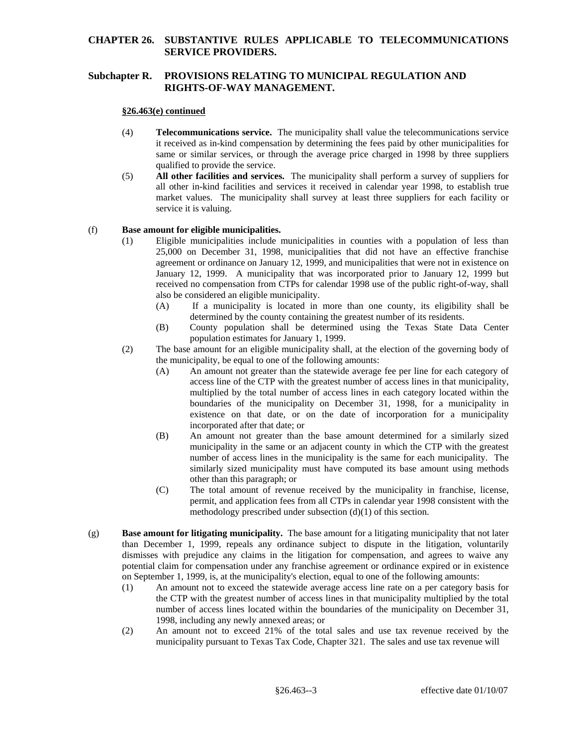## **CHAPTER 26. SUBSTANTIVE RULES APPLICABLE TO TELECOMMUNICATIONS SERVICE PROVIDERS.**

# **Subchapter R. PROVISIONS RELATING TO MUNICIPAL REGULATION AND RIGHTS-OF-WAY MANAGEMENT.**

#### **§26.463(e) continued**

- (4) **Telecommunications service.** The municipality shall value the telecommunications service it received as in-kind compensation by determining the fees paid by other municipalities for same or similar services, or through the average price charged in 1998 by three suppliers qualified to provide the service.
- market values. The municipality shall survey at least three suppliers for each facility or (5) **All other facilities and services.** The municipality shall perform a survey of suppliers for all other in-kind facilities and services it received in calendar year 1998, to establish true service it is valuing.

### (f) **Base amount for eligible municipalities.**

- (1) Eligible municipalities include municipalities in counties with a population of less than 25,000 on December 31, 1998, municipalities that did not have an effective franchise agreement or ordinance on January 12, 1999, and municipalities that were not in existence on January 12, 1999. A municipality that was incorporated prior to January 12, 1999 but received no compensation from CTPs for calendar 1998 use of the public right-of-way, shall also be considered an eligible municipality.
	- determined by the county containing the greatest number of its residents. (A) If a municipality is located in more than one county, its eligibility shall be
	- (B) County population shall be determined using the Texas State Data Center population estimates for January 1, 1999.
- (2) The base amount for an eligible municipality shall, at the election of the governing body of the municipality, be equal to one of the following amounts:
	- (A) An amount not greater than the statewide average fee per line for each category of access line of the CTP with the greatest number of access lines in that municipality, multiplied by the total number of access lines in each category located within the boundaries of the municipality on December 31, 1998, for a municipality in existence on that date, or on the date of incorporation for a municipality incorporated after that date; or
	- other than this paragraph; or (B) An amount not greater than the base amount determined for a similarly sized municipality in the same or an adjacent county in which the CTP with the greatest number of access lines in the municipality is the same for each municipality. The similarly sized municipality must have computed its base amount using methods
	- (C) The total amount of revenue received by the municipality in franchise, license, permit, and application fees from all CTPs in calendar year 1998 consistent with the methodology prescribed under subsection (d)(1) of this section.
- (g) **Base amount for litigating municipality.** The base amount for a litigating municipality that not later than December 1, 1999, repeals any ordinance subject to dispute in the litigation, voluntarily dismisses with prejudice any claims in the litigation for compensation, and agrees to waive any potential claim for compensation under any franchise agreement or ordinance expired or in existence on September 1, 1999, is, at the municipality's election, equal to one of the following amounts:
	- 1998, including any newly annexed areas; or (1) An amount not to exceed the statewide average access line rate on a per category basis for the CTP with the greatest number of access lines in that municipality multiplied by the total number of access lines located within the boundaries of the municipality on December 31,
	- (2) An amount not to exceed 21% of the total sales and use tax revenue received by the municipality pursuant to Texas Tax Code, Chapter 321. The sales and use tax revenue will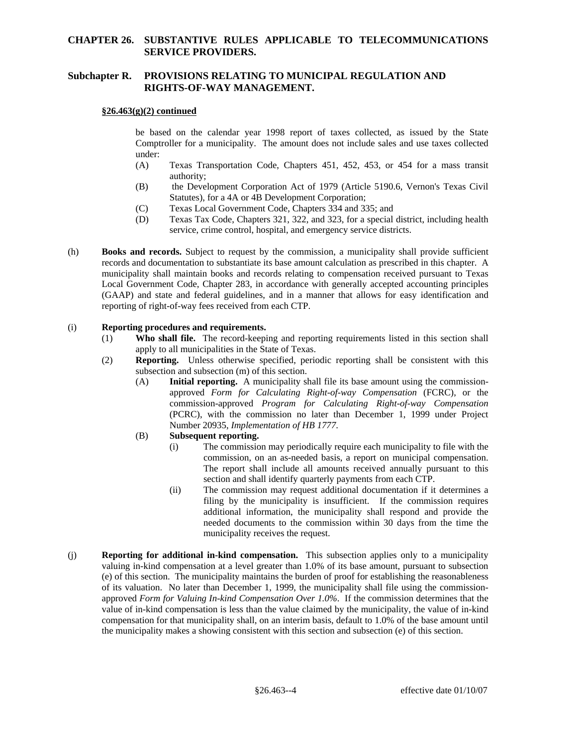## **CHAPTER 26. SUBSTANTIVE RULES APPLICABLE TO TELECOMMUNICATIONS SERVICE PROVIDERS.**

## **Subchapter R. PROVISIONS RELATING TO MUNICIPAL REGULATION AND RIGHTS-OF-WAY MANAGEMENT.**

#### **§26.463(g)(2) continued**

under: be based on the calendar year 1998 report of taxes collected, as issued by the State Comptroller for a municipality. The amount does not include sales and use taxes collected

- $(A)$ Texas Transportation Code, Chapters 451, 452, 453, or 454 for a mass transit authority;
- (B) the Development Corporation Act of 1979 (Article 5190.6, Vernon's Texas Civil Statutes), for a 4A or 4B Development Corporation;
- (C) Texas Local Government Code, Chapters 334 and 335; and
- (D) Texas Tax Code, Chapters 321, 322, and 323, for a special district, including health service, crime control, hospital, and emergency service districts.
- (h) **Books and records.** Subject to request by the commission, a municipality shall provide sufficient records and documentation to substantiate its base amount calculation as prescribed in this chapter. A municipality shall maintain books and records relating to compensation received pursuant to Texas Local Government Code, Chapter 283, in accordance with generally accepted accounting principles (GAAP) and state and federal guidelines, and in a manner that allows for easy identification and reporting of right-of-way fees received from each CTP.

#### (i) **Reporting procedures and requirements.**

- (1) **Who shall file.** The record-keeping and reporting requirements listed in this section shall apply to all municipalities in the State of Texas.
- (2) **Reporting.** Unless otherwise specified, periodic reporting shall be consistent with this subsection and subsection (m) of this section.
	- (A) **Initial reporting.** A municipality shall file its base amount using the commissionapproved *Form for Calculating Right-of-way Compensation* (FCRC), or the commission-approved *Program for Calculating Right-of-way Compensation*  (PCRC), with the commission no later than December 1, 1999 under Project Number 20935, *Implementation of HB 1777*.

### (B) **Subsequent reporting.**

- (i) The commission may periodically require each municipality to file with the commission, on an as-needed basis, a report on municipal compensation. The report shall include all amounts received annually pursuant to this section and shall identify quarterly payments from each CTP.
- $(ii)$  additional information, the municipality shall respond and provide the The commission may request additional documentation if it determines a filing by the municipality is insufficient. If the commission requires needed documents to the commission within 30 days from the time the municipality receives the request.
- the municipality makes a showing consistent with this section and subsection (e) of this section. (j) **Reporting for additional in-kind compensation.** This subsection applies only to a municipality valuing in-kind compensation at a level greater than 1.0% of its base amount, pursuant to subsection (e) of this section. The municipality maintains the burden of proof for establishing the reasonableness of its valuation. No later than December 1, 1999, the municipality shall file using the commissionapproved *Form for Valuing In-kind Compensation Over 1.0%*. If the commission determines that the value of in-kind compensation is less than the value claimed by the municipality, the value of in-kind compensation for that municipality shall, on an interim basis, default to 1.0% of the base amount until